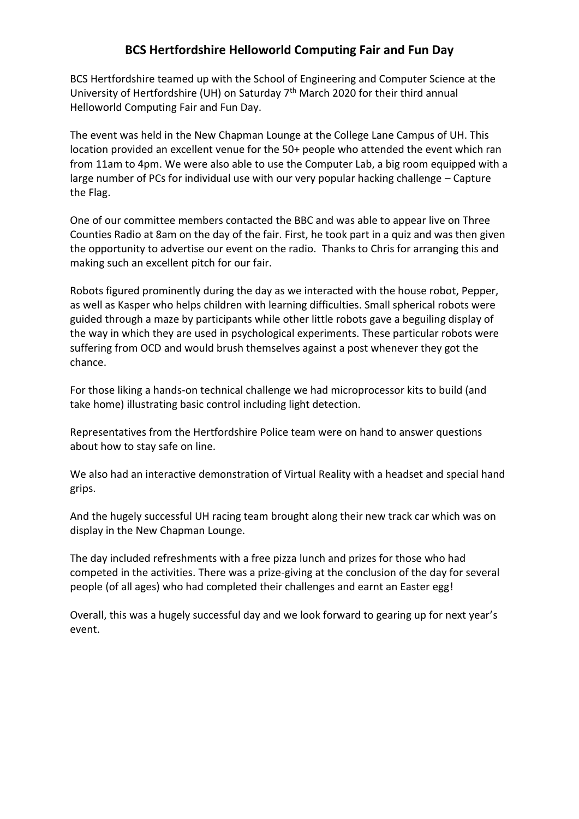## **BCS Hertfordshire Helloworld Computing Fair and Fun Day**

BCS Hertfordshire teamed up with the School of Engineering and Computer Science at the University of Hertfordshire (UH) on Saturday 7th March 2020 for their third annual Helloworld Computing Fair and Fun Day.

The event was held in the New Chapman Lounge at the College Lane Campus of UH. This location provided an excellent venue for the 50+ people who attended the event which ran from 11am to 4pm. We were also able to use the Computer Lab, a big room equipped with a large number of PCs for individual use with our very popular hacking challenge – Capture the Flag.

One of our committee members contacted the BBC and was able to appear live on Three Counties Radio at 8am on the day of the fair. First, he took part in a quiz and was then given the opportunity to advertise our event on the radio. Thanks to Chris for arranging this and making such an excellent pitch for our fair.

Robots figured prominently during the day as we interacted with the house robot, Pepper, as well as Kasper who helps children with learning difficulties. Small spherical robots were guided through a maze by participants while other little robots gave a beguiling display of the way in which they are used in psychological experiments. These particular robots were suffering from OCD and would brush themselves against a post whenever they got the chance.

For those liking a hands-on technical challenge we had microprocessor kits to build (and take home) illustrating basic control including light detection.

Representatives from the Hertfordshire Police team were on hand to answer questions about how to stay safe on line.

We also had an interactive demonstration of Virtual Reality with a headset and special hand grips.

And the hugely successful UH racing team brought along their new track car which was on display in the New Chapman Lounge.

The day included refreshments with a free pizza lunch and prizes for those who had competed in the activities. There was a prize-giving at the conclusion of the day for several people (of all ages) who had completed their challenges and earnt an Easter egg!

Overall, this was a hugely successful day and we look forward to gearing up for next year's event.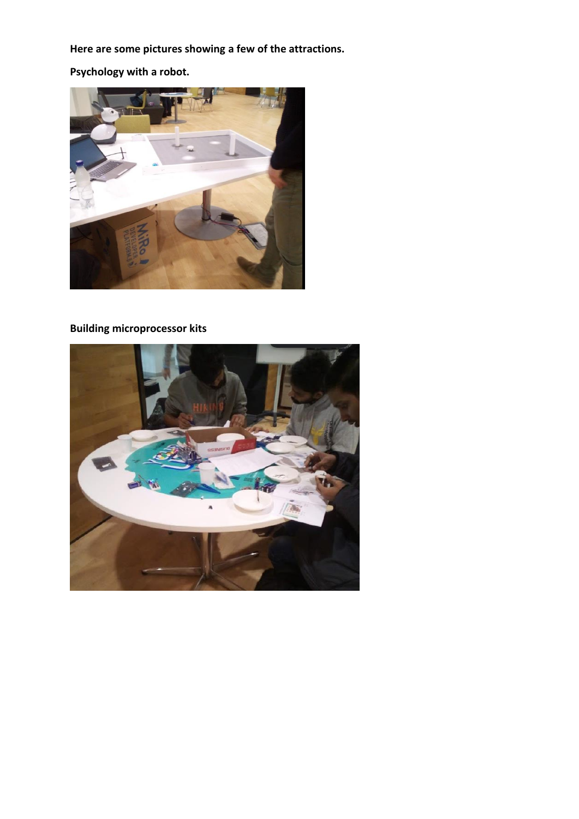**Here are some pictures showing a few of the attractions.**

**Psychology with a robot.**



# **Building microprocessor kits**

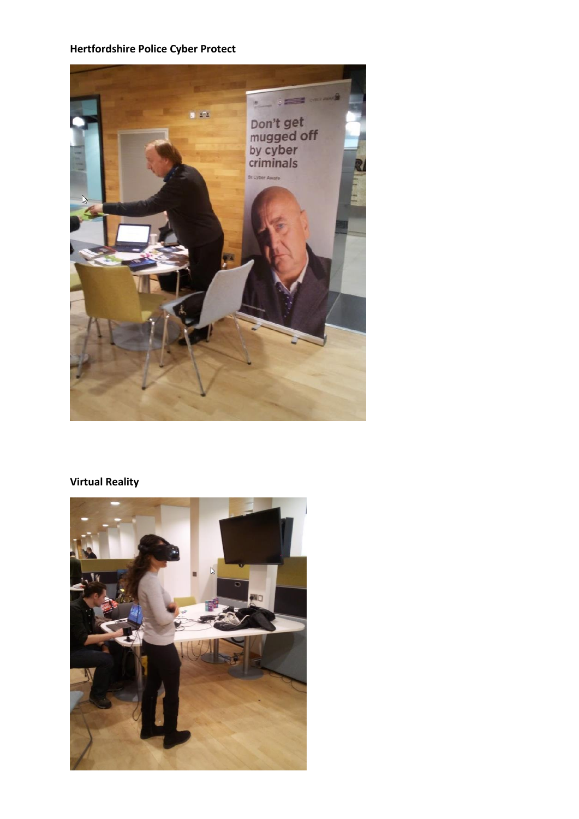#### **Hertfordshire Police Cyber Protect**



## **Virtual Reality**

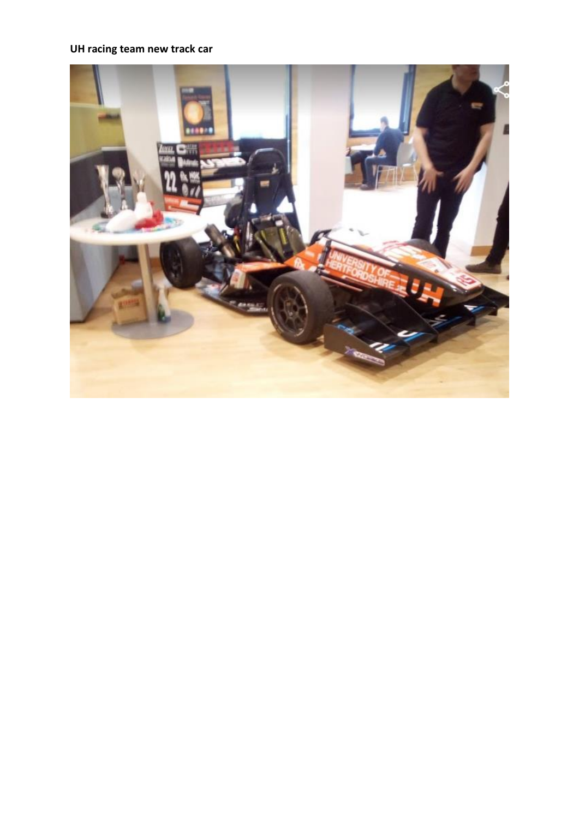## **UH racing team new track car**